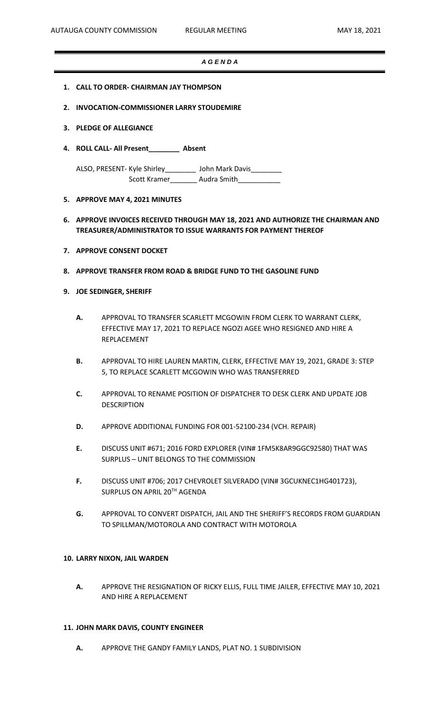#### *A G E N D A*

- **1. CALL TO ORDER- CHAIRMAN JAY THOMPSON**
- **2. INVOCATION-COMMISSIONER LARRY STOUDEMIRE**
- **3. PLEDGE OF ALLEGIANCE**
- **4. ROLL CALL- All Present\_\_\_\_\_\_\_\_ Absent**

ALSO, PRESENT- Kyle Shirley\_\_\_\_\_\_\_\_\_\_ John Mark Davis\_\_\_ Scott Kramer\_\_\_\_\_\_\_\_ Audra Smith\_\_\_\_\_\_\_\_\_\_

### **5. APPROVE MAY 4, 2021 MINUTES**

## **6. APPROVE INVOICES RECEIVED THROUGH MAY 18, 2021 AND AUTHORIZE THE CHAIRMAN AND TREASURER/ADMINISTRATOR TO ISSUE WARRANTS FOR PAYMENT THEREOF**

- **7. APPROVE CONSENT DOCKET**
- **8. APPROVE TRANSFER FROM ROAD & BRIDGE FUND TO THE GASOLINE FUND**

## **9. JOE SEDINGER, SHERIFF**

- **A.** APPROVAL TO TRANSFER SCARLETT MCGOWIN FROM CLERK TO WARRANT CLERK, EFFECTIVE MAY 17, 2021 TO REPLACE NGOZI AGEE WHO RESIGNED AND HIRE A REPLACEMENT
- **B.** APPROVAL TO HIRE LAUREN MARTIN, CLERK, EFFECTIVE MAY 19, 2021, GRADE 3: STEP 5, TO REPLACE SCARLETT MCGOWIN WHO WAS TRANSFERRED
- **C.** APPROVAL TO RENAME POSITION OF DISPATCHER TO DESK CLERK AND UPDATE JOB DESCRIPTION
- **D.** APPROVE ADDITIONAL FUNDING FOR 001-52100-234 (VCH. REPAIR)
- **E.** DISCUSS UNIT #671; 2016 FORD EXPLORER (VIN# 1FM5K8AR9GGC92580) THAT WAS SURPLUS – UNIT BELONGS TO THE COMMISSION
- **F.** DISCUSS UNIT #706; 2017 CHEVROLET SILVERADO (VIN# 3GCUKNEC1HG401723), SURPLUS ON APRIL 20TH AGENDA
- **G.** APPROVAL TO CONVERT DISPATCH, JAIL AND THE SHERIFF'S RECORDS FROM GUARDIAN TO SPILLMAN/MOTOROLA AND CONTRACT WITH MOTOROLA

#### **10. LARRY NIXON, JAIL WARDEN**

**A.** APPROVE THE RESIGNATION OF RICKY ELLIS, FULL TIME JAILER, EFFECTIVE MAY 10, 2021 AND HIRE A REPLACEMENT

#### **11. JOHN MARK DAVIS, COUNTY ENGINEER**

**A.** APPROVE THE GANDY FAMILY LANDS, PLAT NO. 1 SUBDIVISION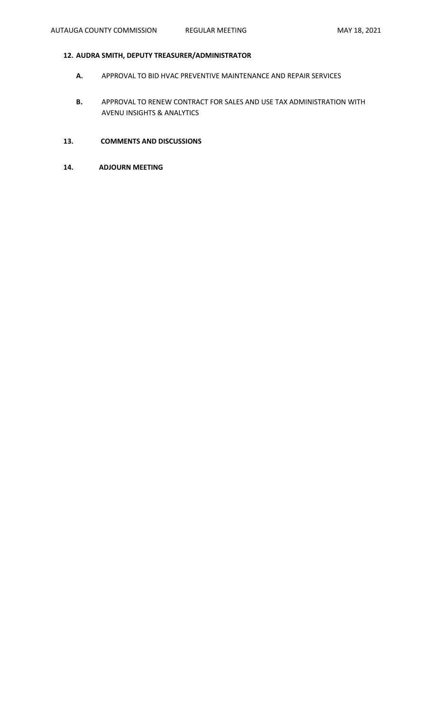# **12. AUDRA SMITH, DEPUTY TREASURER/ADMINISTRATOR**

- **A.** APPROVAL TO BID HVAC PREVENTIVE MAINTENANCE AND REPAIR SERVICES
- **B.** APPROVAL TO RENEW CONTRACT FOR SALES AND USE TAX ADMINISTRATION WITH AVENU INSIGHTS & ANALYTICS
- **13. COMMENTS AND DISCUSSIONS**
- **14. ADJOURN MEETING**